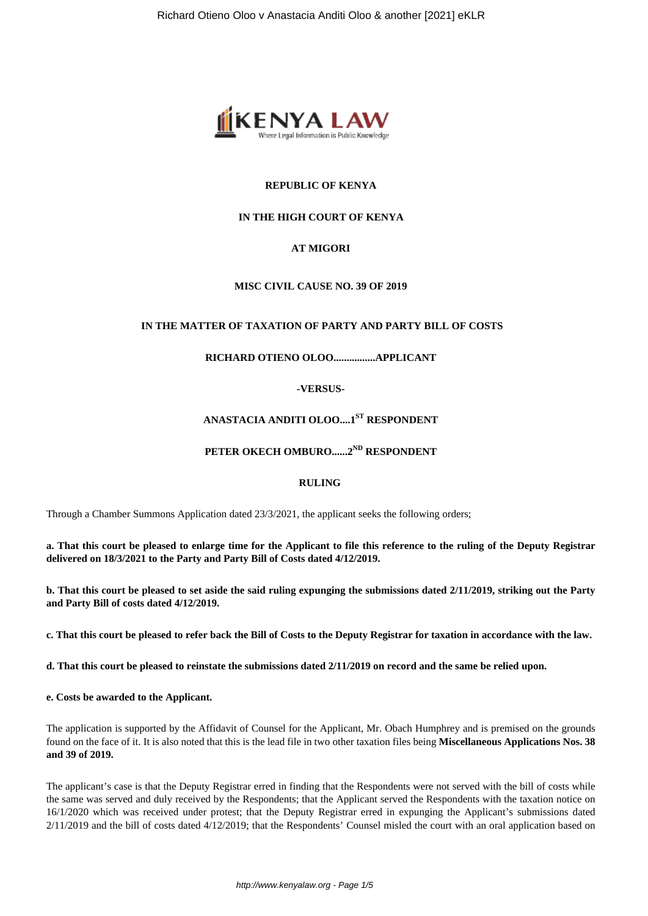

# **REPUBLIC OF KENYA**

# **IN THE HIGH COURT OF KENYA**

# **AT MIGORI**

#### **MISC CIVIL CAUSE NO. 39 OF 2019**

#### **IN THE MATTER OF TAXATION OF PARTY AND PARTY BILL OF COSTS**

# **RICHARD OTIENO OLOO................APPLICANT**

**-VERSUS-**

# **ANASTACIA ANDITI OLOO....1ST RESPONDENT**

# **PETER OKECH OMBURO......2ND RESPONDENT**

#### **RULING**

Through a Chamber Summons Application dated 23/3/2021, the applicant seeks the following orders;

**a. That this court be pleased to enlarge time for the Applicant to file this reference to the ruling of the Deputy Registrar delivered on 18/3/2021 to the Party and Party Bill of Costs dated 4/12/2019.**

**b. That this court be pleased to set aside the said ruling expunging the submissions dated 2/11/2019, striking out the Party and Party Bill of costs dated 4/12/2019.** 

**c. That this court be pleased to refer back the Bill of Costs to the Deputy Registrar for taxation in accordance with the law.**

**d. That this court be pleased to reinstate the submissions dated 2/11/2019 on record and the same be relied upon.**

**e. Costs be awarded to the Applicant.** 

The application is supported by the Affidavit of Counsel for the Applicant, Mr. Obach Humphrey and is premised on the grounds found on the face of it. It is also noted that this is the lead file in two other taxation files being **Miscellaneous Applications Nos. 38 and 39 of 2019.**

The applicant's case is that the Deputy Registrar erred in finding that the Respondents were not served with the bill of costs while the same was served and duly received by the Respondents; that the Applicant served the Respondents with the taxation notice on 16/1/2020 which was received under protest; that the Deputy Registrar erred in expunging the Applicant's submissions dated 2/11/2019 and the bill of costs dated 4/12/2019; that the Respondents' Counsel misled the court with an oral application based on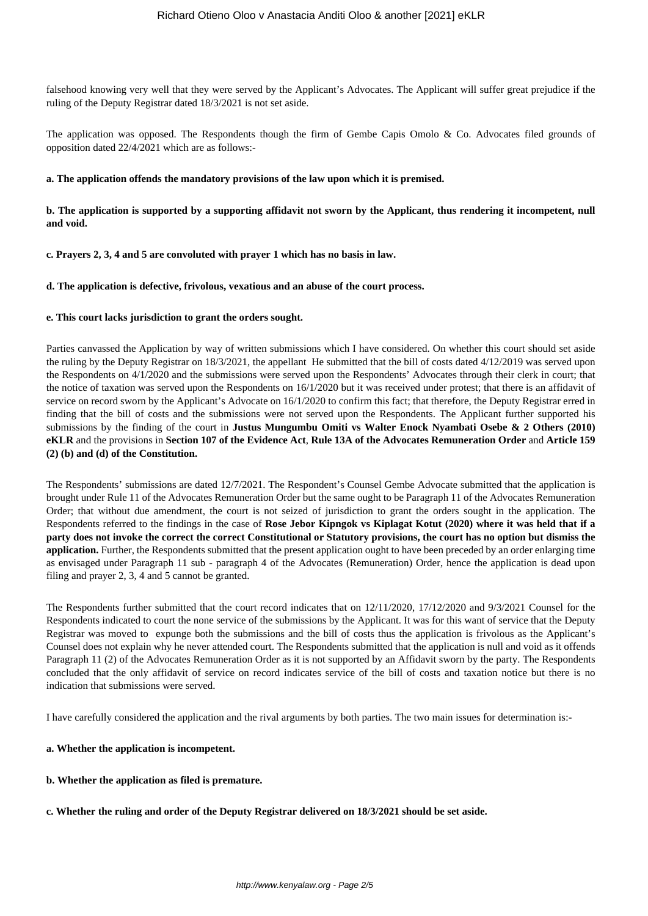falsehood knowing very well that they were served by the Applicant's Advocates. The Applicant will suffer great prejudice if the ruling of the Deputy Registrar dated 18/3/2021 is not set aside.

The application was opposed. The Respondents though the firm of Gembe Capis Omolo & Co. Advocates filed grounds of opposition dated 22/4/2021 which are as follows:-

#### **a. The application offends the mandatory provisions of the law upon which it is premised.**

# **b. The application is supported by a supporting affidavit not sworn by the Applicant, thus rendering it incompetent, null and void.**

**c. Prayers 2, 3, 4 and 5 are convoluted with prayer 1 which has no basis in law.** 

#### **d. The application is defective, frivolous, vexatious and an abuse of the court process.**

#### **e. This court lacks jurisdiction to grant the orders sought.**

Parties canvassed the Application by way of written submissions which I have considered. On whether this court should set aside the ruling by the Deputy Registrar on 18/3/2021, the appellant He submitted that the bill of costs dated 4/12/2019 was served upon the Respondents on 4/1/2020 and the submissions were served upon the Respondents' Advocates through their clerk in court; that the notice of taxation was served upon the Respondents on 16/1/2020 but it was received under protest; that there is an affidavit of service on record sworn by the Applicant's Advocate on 16/1/2020 to confirm this fact; that therefore, the Deputy Registrar erred in finding that the bill of costs and the submissions were not served upon the Respondents. The Applicant further supported his submissions by the finding of the court in **Justus Mungumbu Omiti vs Walter Enock Nyambati Osebe & 2 Others (2010) eKLR** and the provisions in **Section 107 of the Evidence Act**, **Rule 13A of the Advocates Remuneration Order** and **Article 159 (2) (b) and (d) of the Constitution.** 

The Respondents' submissions are dated 12/7/2021. The Respondent's Counsel Gembe Advocate submitted that the application is brought under Rule 11 of the Advocates Remuneration Order but the same ought to be Paragraph 11 of the Advocates Remuneration Order; that without due amendment, the court is not seized of jurisdiction to grant the orders sought in the application. The Respondents referred to the findings in the case of **Rose Jebor Kipngok vs Kiplagat Kotut (2020) where it was held that if a party does not invoke the correct the correct Constitutional or Statutory provisions, the court has no option but dismiss the application.** Further, the Respondents submitted that the present application ought to have been preceded by an order enlarging time as envisaged under Paragraph 11 sub - paragraph 4 of the Advocates (Remuneration) Order, hence the application is dead upon filing and prayer 2, 3, 4 and 5 cannot be granted.

The Respondents further submitted that the court record indicates that on 12/11/2020, 17/12/2020 and 9/3/2021 Counsel for the Respondents indicated to court the none service of the submissions by the Applicant. It was for this want of service that the Deputy Registrar was moved to expunge both the submissions and the bill of costs thus the application is frivolous as the Applicant's Counsel does not explain why he never attended court. The Respondents submitted that the application is null and void as it offends Paragraph 11 (2) of the Advocates Remuneration Order as it is not supported by an Affidavit sworn by the party. The Respondents concluded that the only affidavit of service on record indicates service of the bill of costs and taxation notice but there is no indication that submissions were served.

I have carefully considered the application and the rival arguments by both parties. The two main issues for determination is:-

#### **a. Whether the application is incompetent.**

- **b. Whether the application as filed is premature.**
- **c. Whether the ruling and order of the Deputy Registrar delivered on 18/3/2021 should be set aside.**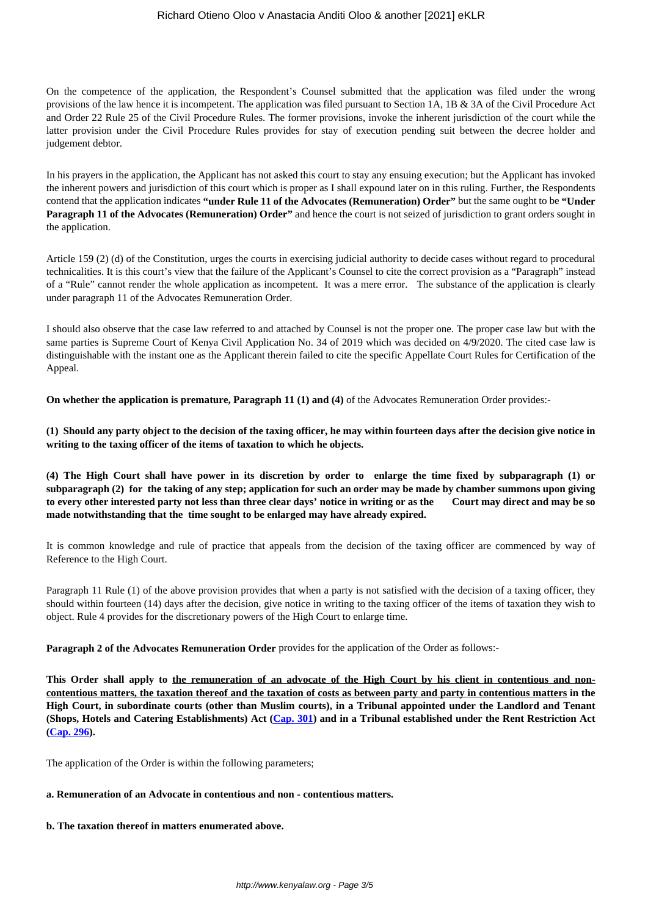On the competence of the application, the Respondent's Counsel submitted that the application was filed under the wrong provisions of the law hence it is incompetent. The application was filed pursuant to Section 1A, 1B & 3A of the Civil Procedure Act and Order 22 Rule 25 of the Civil Procedure Rules. The former provisions, invoke the inherent jurisdiction of the court while the latter provision under the Civil Procedure Rules provides for stay of execution pending suit between the decree holder and judgement debtor.

In his prayers in the application, the Applicant has not asked this court to stay any ensuing execution; but the Applicant has invoked the inherent powers and jurisdiction of this court which is proper as I shall expound later on in this ruling. Further, the Respondents contend that the application indicates **"under Rule 11 of the Advocates (Remuneration) Order"** but the same ought to be **"Under Paragraph 11 of the Advocates (Remuneration) Order"** and hence the court is not seized of jurisdiction to grant orders sought in the application.

Article 159 (2) (d) of the Constitution, urges the courts in exercising judicial authority to decide cases without regard to procedural technicalities. It is this court's view that the failure of the Applicant's Counsel to cite the correct provision as a "Paragraph" instead of a "Rule" cannot render the whole application as incompetent. It was a mere error. The substance of the application is clearly under paragraph 11 of the Advocates Remuneration Order.

I should also observe that the case law referred to and attached by Counsel is not the proper one. The proper case law but with the same parties is Supreme Court of Kenya Civil Application No. 34 of 2019 which was decided on 4/9/2020. The cited case law is distinguishable with the instant one as the Applicant therein failed to cite the specific Appellate Court Rules for Certification of the Appeal.

**On whether the application is premature, Paragraph 11 (1) and (4)** of the Advocates Remuneration Order provides:-

**(1) Should any party object to the decision of the taxing officer, he may within fourteen days after the decision give notice in writing to the taxing officer of the items of taxation to which he objects.**

**(4) The High Court shall have power in its discretion by order to enlarge the time fixed by subparagraph (1) or subparagraph (2) for the taking of any step; application for such an order may be made by chamber summons upon giving to every other interested party not less than three clear days' notice in writing or as the Court may direct and may be so made notwithstanding that the time sought to be enlarged may have already expired.**

It is common knowledge and rule of practice that appeals from the decision of the taxing officer are commenced by way of Reference to the High Court.

Paragraph 11 Rule (1) of the above provision provides that when a party is not satisfied with the decision of a taxing officer, they should within fourteen (14) days after the decision, give notice in writing to the taxing officer of the items of taxation they wish to object. Rule 4 provides for the discretionary powers of the High Court to enlarge time.

**Paragraph 2 of the Advocates Remuneration Order** provides for the application of the Order as follows:-

This Order shall apply to the remuneration of an advocate of the High Court by his client in contentious and non**contentious matters, the taxation thereof and the taxation of costs as between party and party in contentious matters in the High Court, in subordinate courts (other than Muslim courts), in a Tribunal appointed under the Landlord and Tenant (Shops, Hotels and Catering Establishments) Act [\(Cap. 301\)](http://kenyalaw.org:8181/exist/kenyalex/actviewbyid.xql"id=KE/LEG/AR/L/CHAPTER%20301#KE/LEG/AR/L/CHAPTER%20301) and in a Tribunal established under the Rent Restriction Act ([Cap. 296\)](http://kenyalaw.org:8181/exist/kenyalex/actviewbyid.xql"id=KE/LEG/AR/R/CHAPTER%20296#KE/LEG/AR/R/CHAPTER%20296).**

The application of the Order is within the following parameters;

# **a. Remuneration of an Advocate in contentious and non - contentious matters.**

# **b. The taxation thereof in matters enumerated above.**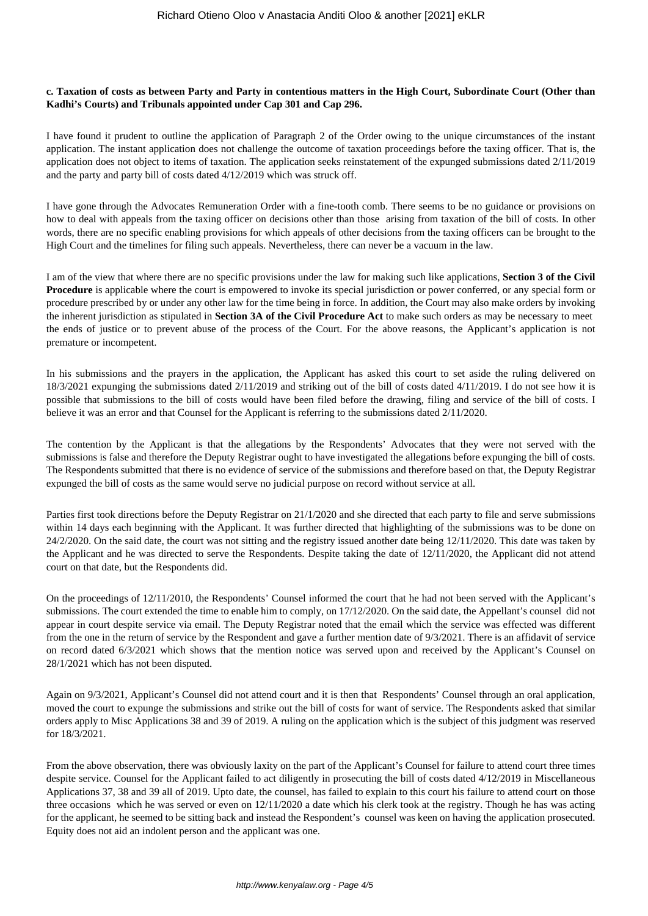### **c. Taxation of costs as between Party and Party in contentious matters in the High Court, Subordinate Court (Other than Kadhi's Courts) and Tribunals appointed under Cap 301 and Cap 296.**

I have found it prudent to outline the application of Paragraph 2 of the Order owing to the unique circumstances of the instant application. The instant application does not challenge the outcome of taxation proceedings before the taxing officer. That is, the application does not object to items of taxation. The application seeks reinstatement of the expunged submissions dated 2/11/2019 and the party and party bill of costs dated 4/12/2019 which was struck off.

I have gone through the Advocates Remuneration Order with a fine-tooth comb. There seems to be no guidance or provisions on how to deal with appeals from the taxing officer on decisions other than those arising from taxation of the bill of costs. In other words, there are no specific enabling provisions for which appeals of other decisions from the taxing officers can be brought to the High Court and the timelines for filing such appeals. Nevertheless, there can never be a vacuum in the law.

I am of the view that where there are no specific provisions under the law for making such like applications, **Section 3 of the Civil Procedure** is applicable where the court is empowered to invoke its special jurisdiction or power conferred, or any special form or procedure prescribed by or under any other law for the time being in force. In addition, the Court may also make orders by invoking the inherent jurisdiction as stipulated in **Section 3A of the Civil Procedure Act** to make such orders as may be necessary to meet the ends of justice or to prevent abuse of the process of the Court. For the above reasons, the Applicant's application is not premature or incompetent.

In his submissions and the prayers in the application, the Applicant has asked this court to set aside the ruling delivered on 18/3/2021 expunging the submissions dated 2/11/2019 and striking out of the bill of costs dated 4/11/2019. I do not see how it is possible that submissions to the bill of costs would have been filed before the drawing, filing and service of the bill of costs. I believe it was an error and that Counsel for the Applicant is referring to the submissions dated 2/11/2020.

The contention by the Applicant is that the allegations by the Respondents' Advocates that they were not served with the submissions is false and therefore the Deputy Registrar ought to have investigated the allegations before expunging the bill of costs. The Respondents submitted that there is no evidence of service of the submissions and therefore based on that, the Deputy Registrar expunged the bill of costs as the same would serve no judicial purpose on record without service at all.

Parties first took directions before the Deputy Registrar on 21/1/2020 and she directed that each party to file and serve submissions within 14 days each beginning with the Applicant. It was further directed that highlighting of the submissions was to be done on 24/2/2020. On the said date, the court was not sitting and the registry issued another date being 12/11/2020. This date was taken by the Applicant and he was directed to serve the Respondents. Despite taking the date of 12/11/2020, the Applicant did not attend court on that date, but the Respondents did.

On the proceedings of 12/11/2010, the Respondents' Counsel informed the court that he had not been served with the Applicant's submissions. The court extended the time to enable him to comply, on 17/12/2020. On the said date, the Appellant's counsel did not appear in court despite service via email. The Deputy Registrar noted that the email which the service was effected was different from the one in the return of service by the Respondent and gave a further mention date of 9/3/2021. There is an affidavit of service on record dated 6/3/2021 which shows that the mention notice was served upon and received by the Applicant's Counsel on 28/1/2021 which has not been disputed.

Again on 9/3/2021, Applicant's Counsel did not attend court and it is then that Respondents' Counsel through an oral application, moved the court to expunge the submissions and strike out the bill of costs for want of service. The Respondents asked that similar orders apply to Misc Applications 38 and 39 of 2019. A ruling on the application which is the subject of this judgment was reserved for 18/3/2021.

From the above observation, there was obviously laxity on the part of the Applicant's Counsel for failure to attend court three times despite service. Counsel for the Applicant failed to act diligently in prosecuting the bill of costs dated 4/12/2019 in Miscellaneous Applications 37, 38 and 39 all of 2019. Upto date, the counsel, has failed to explain to this court his failure to attend court on those three occasions which he was served or even on 12/11/2020 a date which his clerk took at the registry. Though he has was acting for the applicant, he seemed to be sitting back and instead the Respondent's counsel was keen on having the application prosecuted. Equity does not aid an indolent person and the applicant was one.